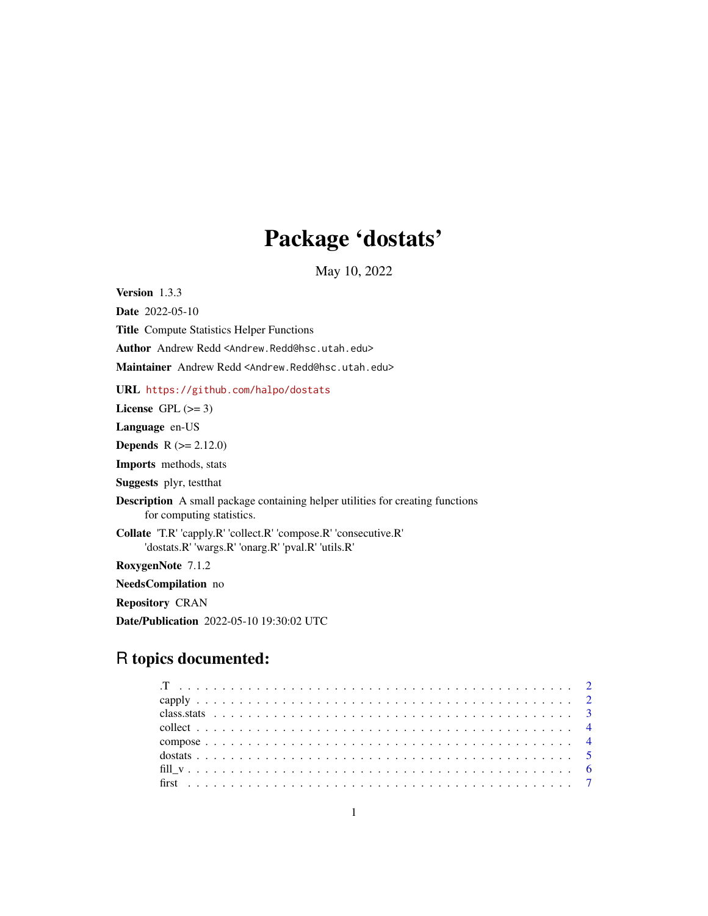# Package 'dostats'

May 10, 2022

<span id="page-0-0"></span>Version 1.3.3 Date 2022-05-10 Title Compute Statistics Helper Functions Author Andrew Redd <Andrew.Redd@hsc.utah.edu> Maintainer Andrew Redd <Andrew.Redd@hsc.utah.edu>

URL <https://github.com/halpo/dostats>

License GPL  $(>= 3)$ 

Language en-US

**Depends**  $R (= 2.12.0)$ 

Imports methods, stats

Suggests plyr, testthat

Description A small package containing helper utilities for creating functions for computing statistics.

Collate 'T.R' 'capply.R' 'collect.R' 'compose.R' 'consecutive.R' 'dostats.R' 'wargs.R' 'onarg.R' 'pval.R' 'utils.R'

RoxygenNote 7.1.2

NeedsCompilation no

Repository CRAN

Date/Publication 2022-05-10 19:30:02 UTC

# R topics documented: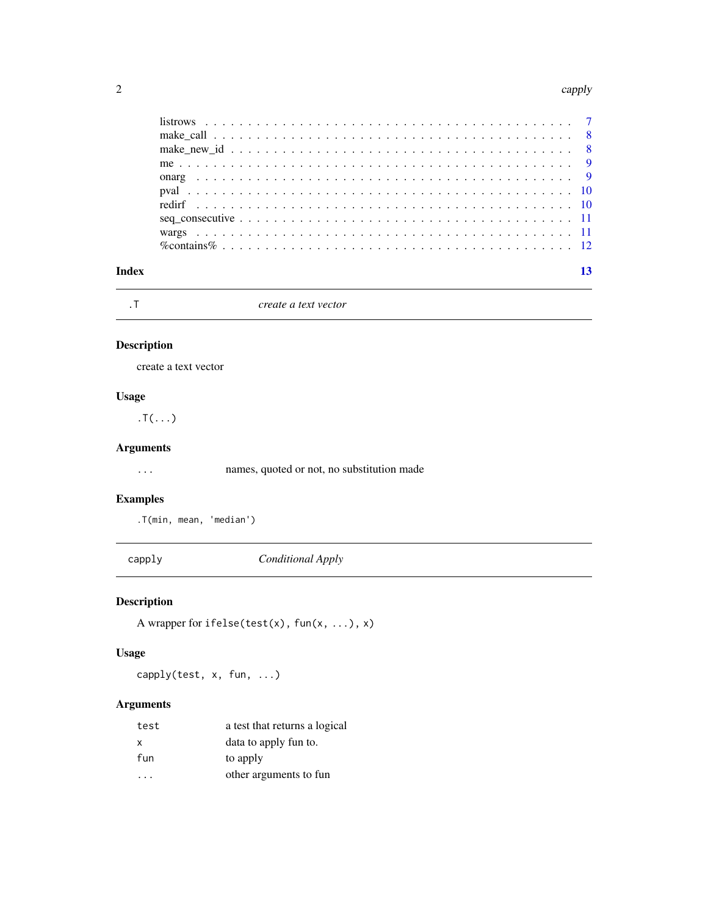#### <span id="page-1-0"></span> $2 \t\omega$  capply

| Index |  |  |  |  |
|-------|--|--|--|--|
|       |  |  |  |  |
|       |  |  |  |  |
|       |  |  |  |  |
|       |  |  |  |  |
|       |  |  |  |  |
|       |  |  |  |  |
|       |  |  |  |  |
|       |  |  |  |  |
|       |  |  |  |  |
|       |  |  |  |  |

.T *create a text vector*

# Description

create a text vector

# Usage

 $.T($ ... $)$ 

# Arguments

... names, quoted or not, no substitution made

# Examples

.T(min, mean, 'median')

capply *Conditional Apply*

# Description

A wrapper for ifelse(test(x), fun(x, ...), x)

# Usage

capply(test, x, fun, ...)

# Arguments

| test | a test that returns a logical |
|------|-------------------------------|
| X    | data to apply fun to.         |
| fun  | to apply                      |
|      | other arguments to fun        |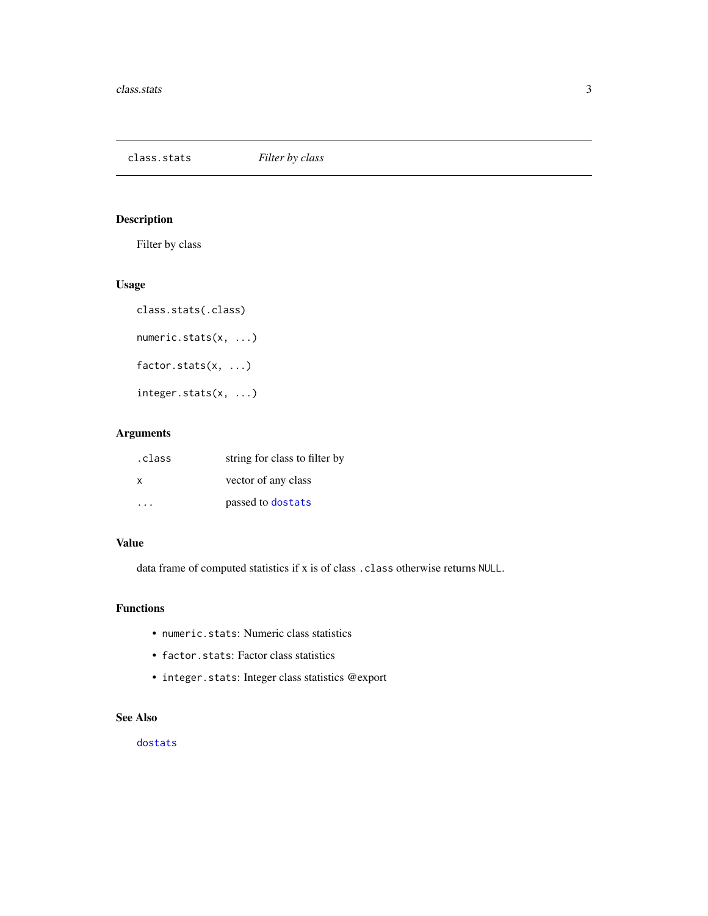<span id="page-2-0"></span>class.stats *Filter by class*

# Description

Filter by class

# Usage

```
class.stats(.class)
numeric.stats(x, ...)
factor.stats(x, ...)
integer.stats(x, ...)
```
# Arguments

| .class | string for class to filter by |
|--------|-------------------------------|
| X      | vector of any class           |
| .      | passed to dostats             |

# Value

data frame of computed statistics if x is of class .class otherwise returns NULL.

### Functions

- numeric.stats: Numeric class statistics
- factor.stats: Factor class statistics
- integer.stats: Integer class statistics @export

# See Also

[dostats](#page-4-1)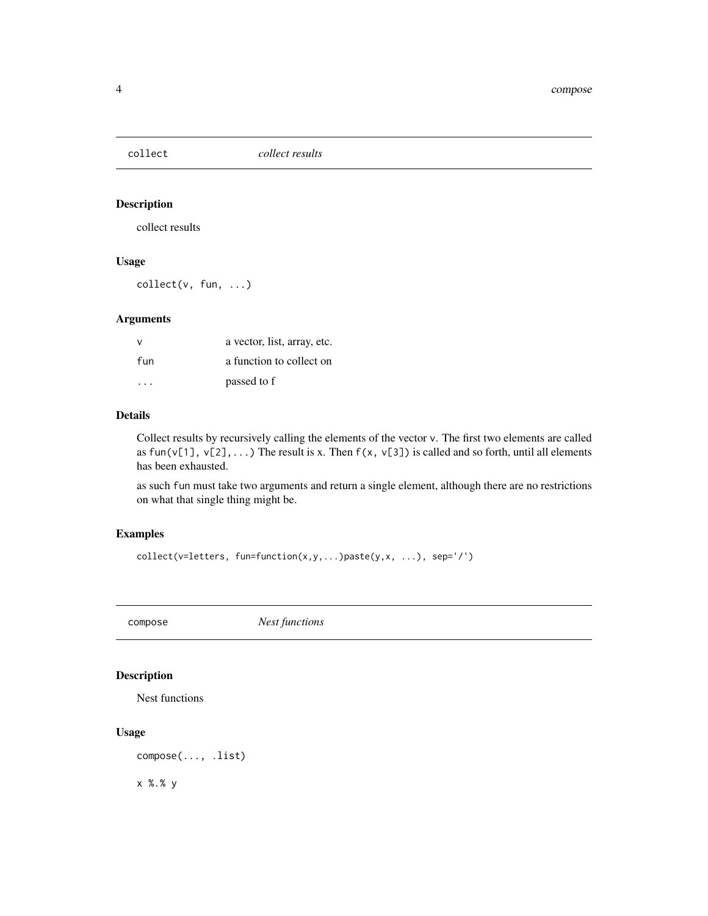<span id="page-3-0"></span>

collect results

# Usage

collect(v, fun, ...)

### Arguments

| v                       | a vector, list, array, etc. |
|-------------------------|-----------------------------|
| fun                     | a function to collect on    |
| $\cdot$ $\cdot$ $\cdot$ | passed to f                 |

#### Details

Collect results by recursively calling the elements of the vector v. The first two elements are called as fun(v[1], v[2],...) The result is x. Then  $f(x, v[3])$  is called and so forth, until all elements has been exhausted.

as such fun must take two arguments and return a single element, although there are no restrictions on what that single thing might be.

# Examples

```
collect(v=letters, fun=function(x,y,...)paste(y,x, ...), sep='/')
```
compose *Nest functions*

#### Description

Nest functions

#### Usage

compose(..., .list)

x %.% y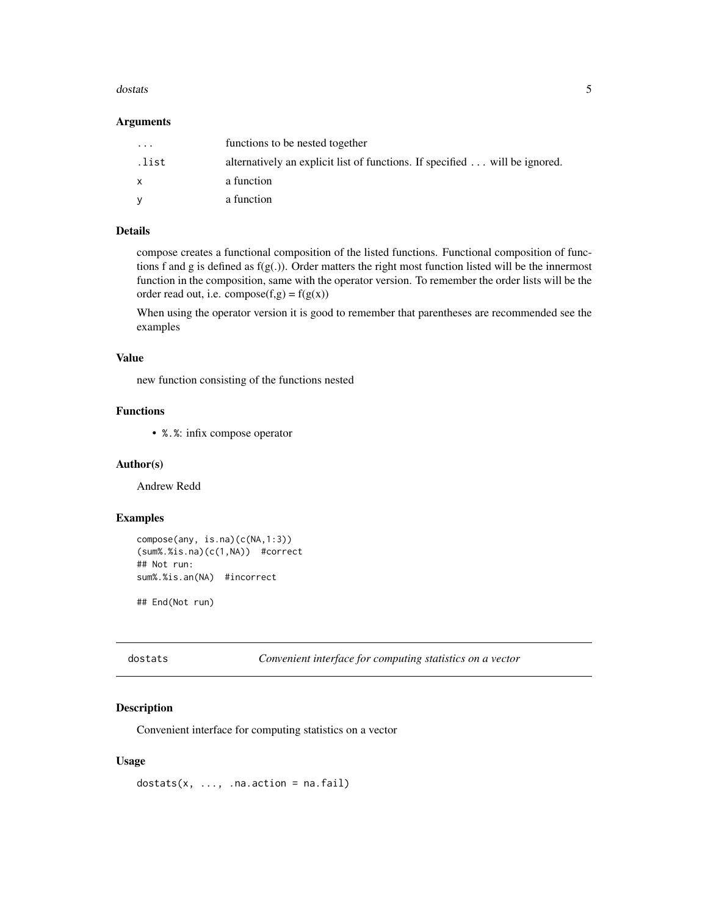#### <span id="page-4-0"></span>dostats 5 and 5 and 5 and 5 and 5 and 5 and 5 and 5 and 5 and 5 and 5 and 5 and 5 and 5 and 5 and 5 and 5 and 5 and 5 and 5 and 5 and 5 and 5 and 5 and 5 and 5 and 5 and 5 and 5 and 5 and 5 and 5 and 5 and 5 and 5 and 5 an

#### Arguments

| $\cdot$ | functions to be nested together                                                    |
|---------|------------------------------------------------------------------------------------|
| .list   | alternatively an explicit list of functions. If specified $\dots$ will be ignored. |
| X       | a function                                                                         |
| V       | a function                                                                         |

# Details

compose creates a functional composition of the listed functions. Functional composition of functions f and g is defined as f(g(.)). Order matters the right most function listed will be the innermost function in the composition, same with the operator version. To remember the order lists will be the order read out, i.e. compose( $f,g$ ) =  $f(g(x))$ 

When using the operator version it is good to remember that parentheses are recommended see the examples

# Value

new function consisting of the functions nested

#### Functions

• %.%: infix compose operator

#### Author(s)

Andrew Redd

# Examples

```
compose(any, is.na)(c(NA,1:3))
(sum%.%is.na)(c(1,NA)) #correct
## Not run:
sum%.%is.an(NA) #incorrect
```
## End(Not run)

<span id="page-4-1"></span>dostats *Convenient interface for computing statistics on a vector*

# Description

Convenient interface for computing statistics on a vector

#### Usage

 $dostats(x, ..., n_a.action = na.fail)$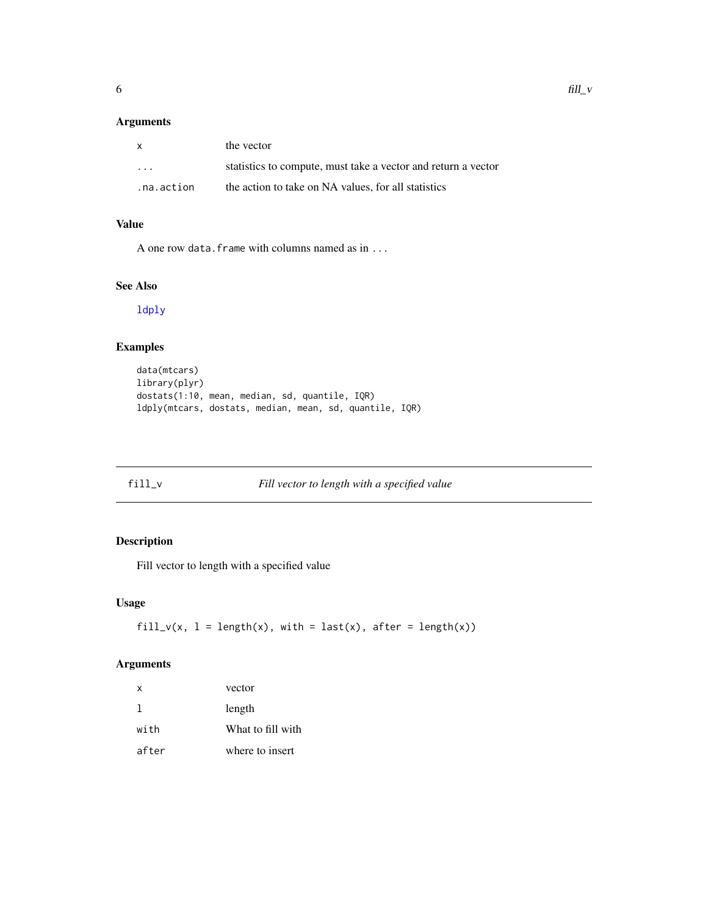# <span id="page-5-0"></span>Arguments

| $\mathbf{x}$            | the vector                                                    |
|-------------------------|---------------------------------------------------------------|
| $\cdot$ $\cdot$ $\cdot$ | statistics to compute, must take a vector and return a vector |
| .na.action              | the action to take on NA values, for all statistics           |

# Value

A one row data.frame with columns named as in ...

# See Also

[ldply](#page-0-0)

# Examples

```
data(mtcars)
library(plyr)
dostats(1:10, mean, median, sd, quantile, IQR)
ldply(mtcars, dostats, median, mean, sd, quantile, IQR)
```

```
fill_v Fill vector to length with a specified value
```
# Description

Fill vector to length with a specified value

# Usage

fill\_v(x,  $l = length(x)$ , with = last(x), after = length(x))

# Arguments

| x     | vector            |
|-------|-------------------|
| 1     | length            |
| with  | What to fill with |
| after | where to insert   |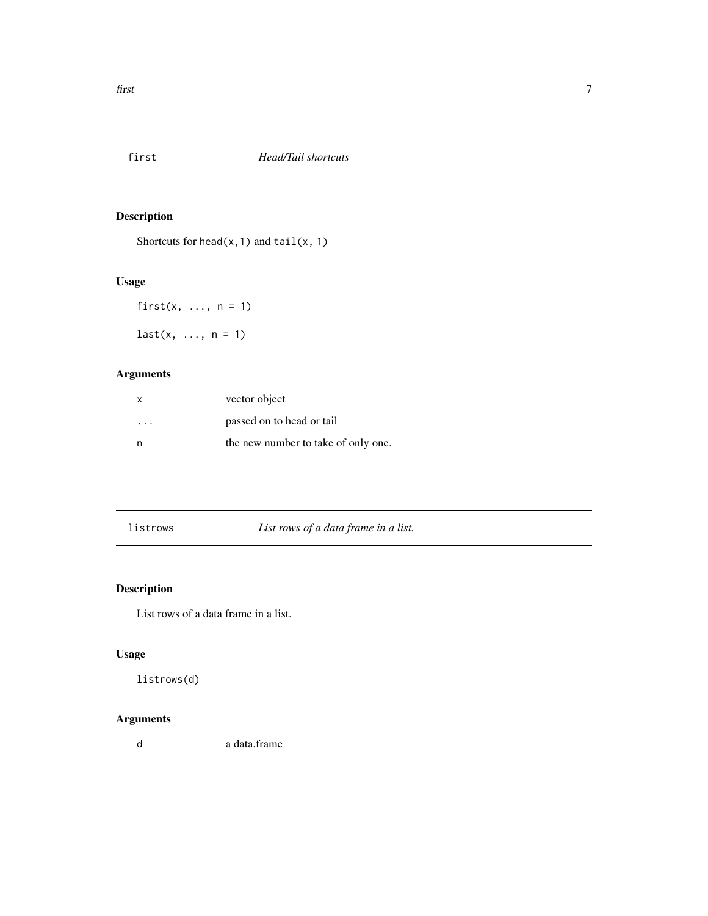<span id="page-6-0"></span>

Shortcuts for head( $x$ , 1) and tail( $x$ , 1)

# Usage

first $(x, \ldots, n = 1)$  $last(x, ..., n = 1)$ 

# Arguments

| $\times$ | vector object                       |
|----------|-------------------------------------|
| .        | passed on to head or tail           |
| n        | the new number to take of only one. |

listrows *List rows of a data frame in a list.*

# Description

List rows of a data frame in a list.

# Usage

listrows(d)

# Arguments

d a data.frame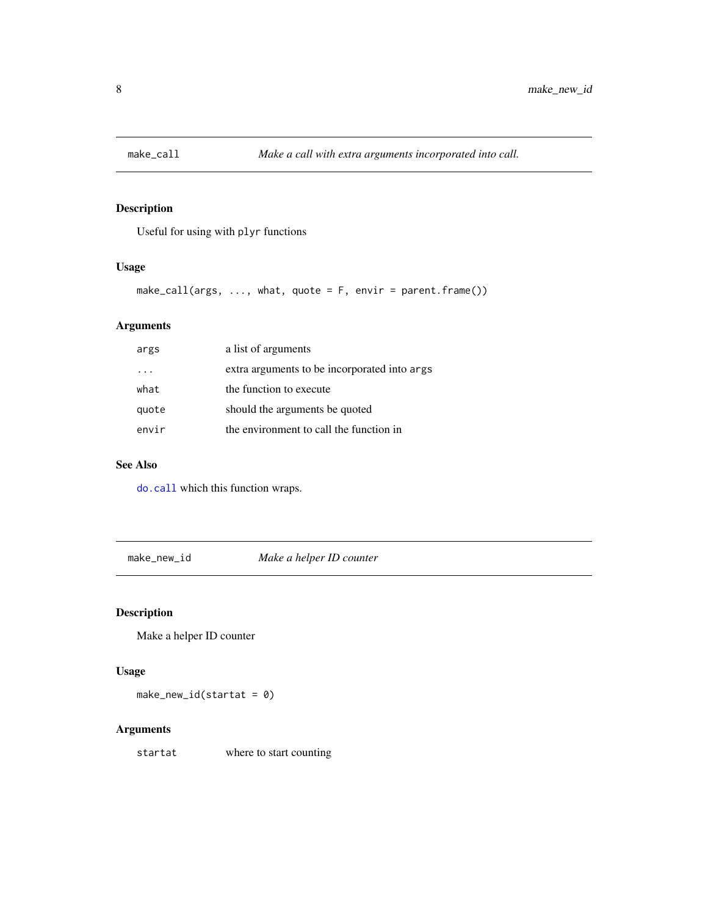<span id="page-7-0"></span>

Useful for using with plyr functions

# Usage

```
make_call(args, ..., what, quote = F, envir = parent.frame())
```
# Arguments

| args  | a list of arguments                          |
|-------|----------------------------------------------|
|       | extra arguments to be incorporated into args |
| what  | the function to execute                      |
| quote | should the arguments be quoted               |
| envir | the environment to call the function in      |

#### See Also

[do.call](#page-0-0) which this function wraps.

make\_new\_id *Make a helper ID counter*

# Description

Make a helper ID counter

#### Usage

 $make_new_id(startat = 0)$ 

# Arguments

startat where to start counting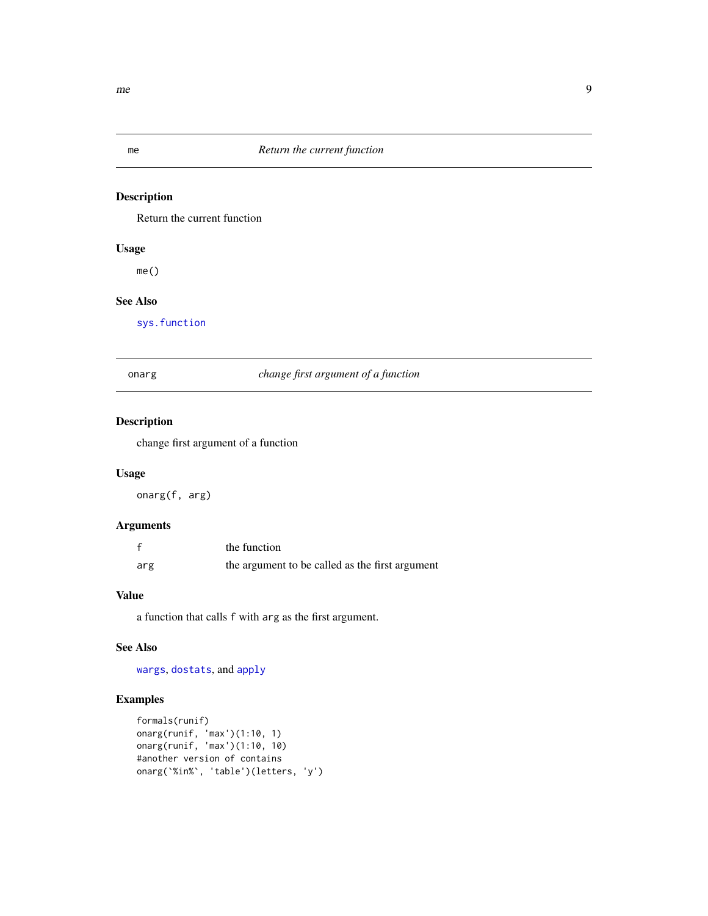<span id="page-8-0"></span>

Return the current function

# Usage

me()

# See Also

[sys.function](#page-0-0)

# onarg *change first argument of a function*

# Description

change first argument of a function

# Usage

onarg(f, arg)

# Arguments

|     | the function                                    |
|-----|-------------------------------------------------|
| arg | the argument to be called as the first argument |

# Value

a function that calls f with arg as the first argument.

#### See Also

[wargs](#page-10-1), [dostats](#page-4-1), and [apply](#page-0-0)

# Examples

```
formals(runif)
onarg(runif, 'max')(1:10, 1)
onarg(runif, 'max')(1:10, 10)
#another version of contains
onarg(`%in%`, 'table')(letters, 'y')
```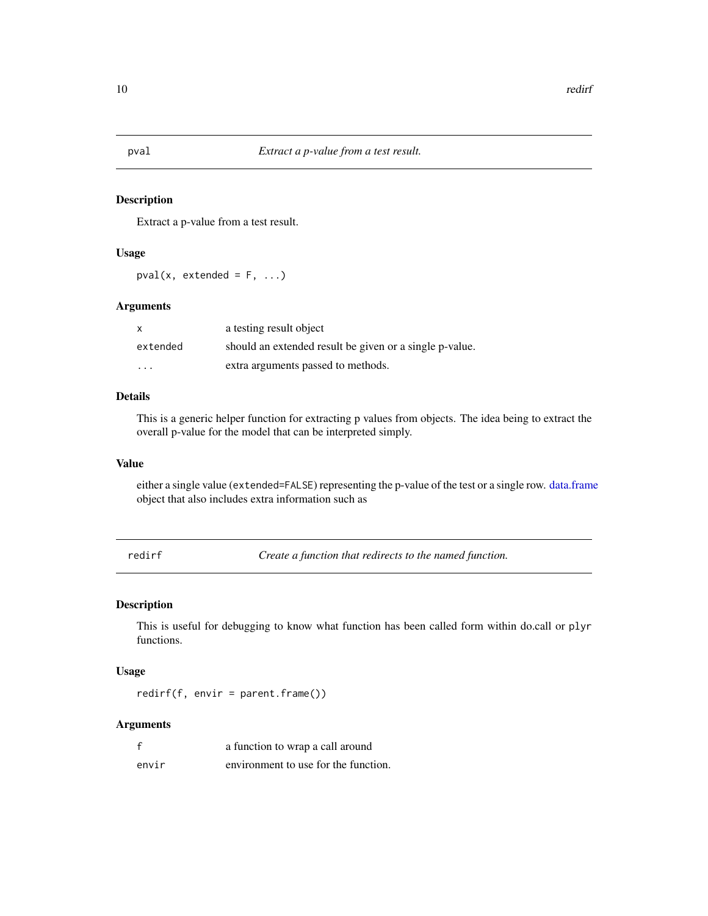<span id="page-9-0"></span>Extract a p-value from a test result.

#### Usage

 $pval(x, extended = F, ...)$ 

#### Arguments

| $\mathsf{x}$ | a testing result object                                 |
|--------------|---------------------------------------------------------|
| extended     | should an extended result be given or a single p-value. |
| $\cdots$     | extra arguments passed to methods.                      |

# Details

This is a generic helper function for extracting p values from objects. The idea being to extract the overall p-value for the model that can be interpreted simply.

#### Value

either a single value (extended=FALSE) representing the p-value of the test or a single row. [data.frame](#page-0-0) object that also includes extra information such as

redirf *Create a function that redirects to the named function.*

# Description

This is useful for debugging to know what function has been called form within do.call or plyr functions.

#### Usage

redirf(f, envir = parent.frame())

# Arguments

|       | a function to wrap a call around     |
|-------|--------------------------------------|
| envir | environment to use for the function. |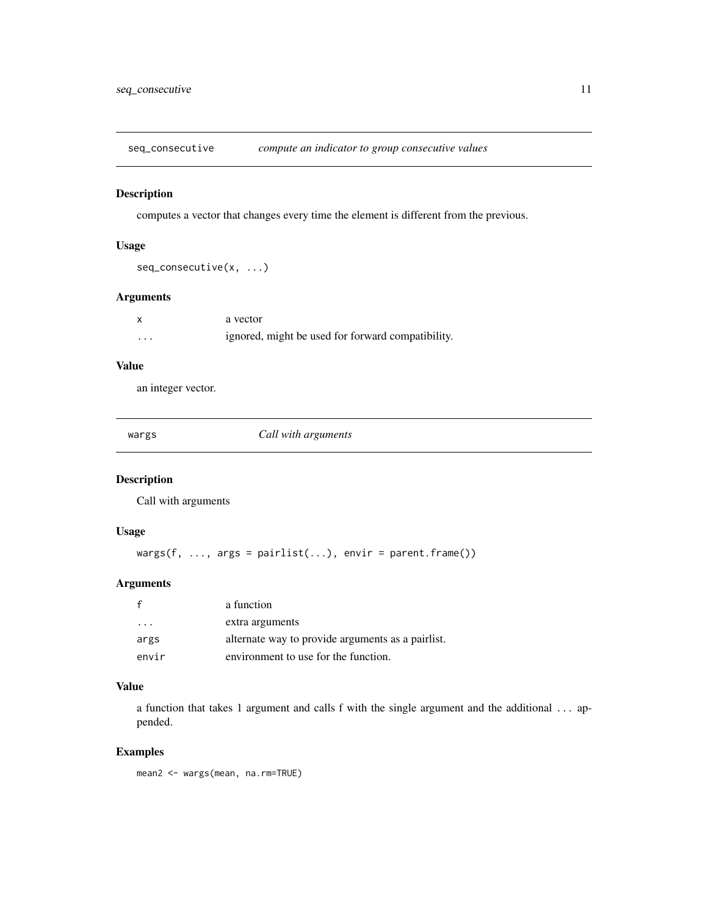<span id="page-10-0"></span>seq\_consecutive *compute an indicator to group consecutive values*

#### Description

computes a vector that changes every time the element is different from the previous.

# Usage

seq\_consecutive(x, ...)

# Arguments

|                   | a vector                                          |
|-------------------|---------------------------------------------------|
| $\cdot\cdot\cdot$ | ignored, might be used for forward compatibility. |

### Value

an integer vector.

<span id="page-10-1"></span>

*Call with arguments* 

#### Description

Call with arguments

#### Usage

 $wargs(f, ..., args = pairlist(...), envir = parent-frame())$ 

# Arguments

|         | a function                                        |
|---------|---------------------------------------------------|
| $\cdot$ | extra arguments                                   |
| args    | alternate way to provide arguments as a pairlist. |
| envir   | environment to use for the function.              |

#### Value

a function that takes 1 argument and calls f with the single argument and the additional ... appended.

### Examples

mean2 <- wargs(mean, na.rm=TRUE)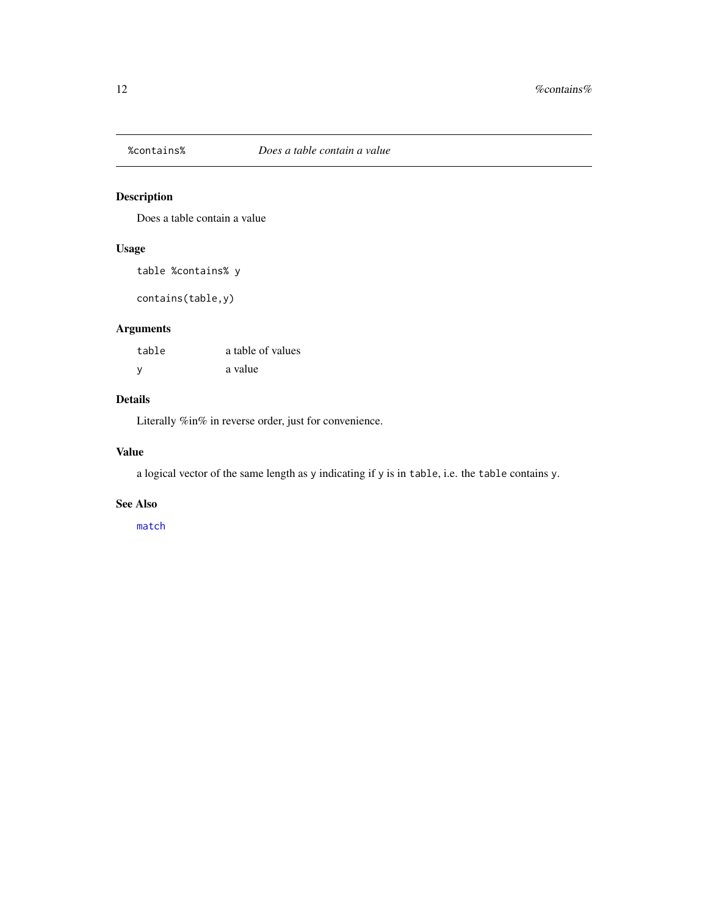<span id="page-11-0"></span>

Does a table contain a value

# Usage

table %contains% y

contains(table,y)

# Arguments

| table | a table of values |
|-------|-------------------|
| V     | a value           |

# Details

Literally %in% in reverse order, just for convenience.

# Value

a logical vector of the same length as y indicating if y is in table, i.e. the table contains y.

# See Also

[match](#page-0-0)